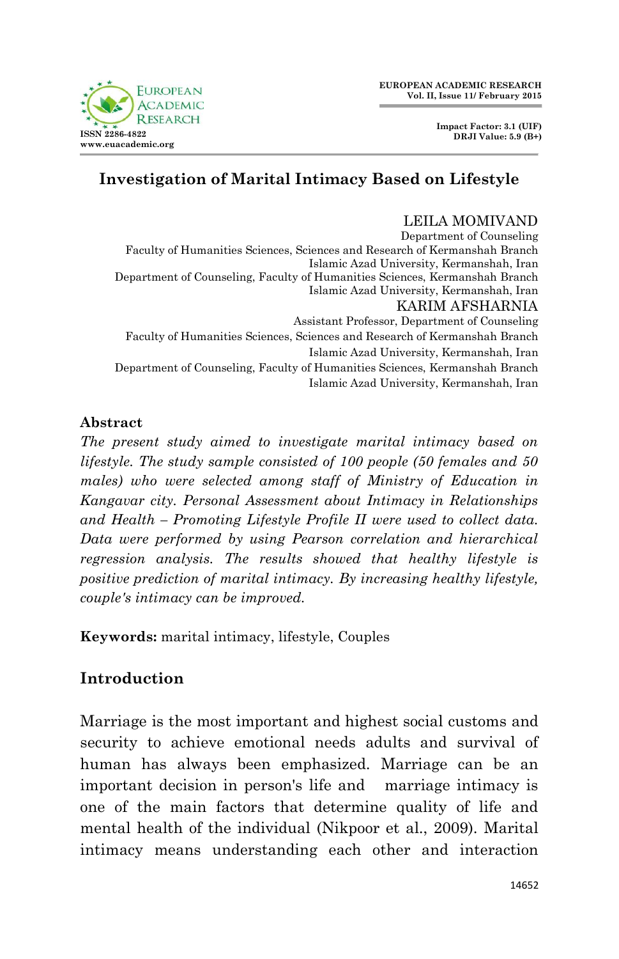**EUROPEAN ACADEMIC RESEARCH Vol. II, Issue 11/ February 2015**



LEILA MOMIVAND

# **Investigation of Marital Intimacy Based on Lifestyle**

Department of Counseling Faculty of Humanities Sciences, Sciences and Research of Kermanshah Branch Islamic Azad University, Kermanshah, Iran Department of Counseling, Faculty of Humanities Sciences, Kermanshah Branch Islamic Azad University, Kermanshah, Iran KARIM AFSHARNIA Assistant Professor, Department of Counseling Faculty of Humanities Sciences, Sciences and Research of Kermanshah Branch Islamic Azad University, Kermanshah, Iran Department of Counseling, Faculty of Humanities Sciences, Kermanshah Branch Islamic Azad University, Kermanshah, Iran

**Abstract**

*The present study aimed to investigate marital intimacy based on lifestyle. The study sample consisted of 100 people (50 females and 50 males) who were selected among staff of Ministry of Education in Kangavar city. Personal Assessment about Intimacy in Relationships and Health – Promoting Lifestyle Profile II were used to collect data. Data were performed by using Pearson correlation and hierarchical regression analysis. The results showed that healthy lifestyle is positive prediction of marital intimacy. By increasing healthy lifestyle, couple's intimacy can be improved.*

**Keywords:** marital intimacy, lifestyle, Couples

# **Introduction**

Marriage is the most important and highest social customs and security to achieve emotional needs adults and survival of human has always been emphasized. Marriage can be an important decision in person's life and marriage intimacy is one of the main factors that determine quality of life and mental health of the individual (Nikpoor et al., 2009). Marital intimacy means understanding each other and interaction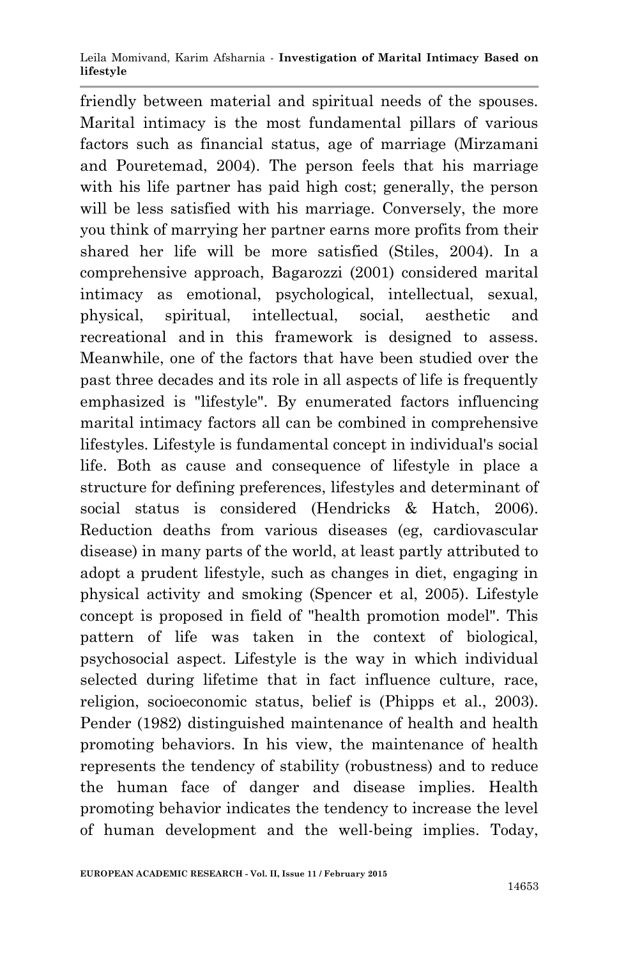Leila Momivand, Karim Afsharnia *-* **Investigation of Marital Intimacy Based on lifestyle**

friendly between material and spiritual needs of the spouses. Marital intimacy is the most fundamental pillars of various factors such as financial status, age of marriage (Mirzamani and Pouretemad, 2004). The person feels that his marriage with his life partner has paid high cost; generally, the person will be less satisfied with his marriage. Conversely, the more you think of marrying her partner earns more profits from their shared her life will be more satisfied (Stiles, 2004). In a comprehensive approach, Bagarozzi (2001) considered marital intimacy as emotional, psychological, intellectual, sexual, physical, spiritual, intellectual, social, aesthetic and recreational and in this framework is designed to assess. Meanwhile, one of the factors that have been studied over the past three decades and its role in all aspects of life is frequently emphasized is "lifestyle". By enumerated factors influencing marital intimacy factors all can be combined in comprehensive lifestyles. Lifestyle is fundamental concept in individual's social life. Both as cause and consequence of lifestyle in place a structure for defining preferences, lifestyles and determinant of social status is considered (Hendricks & Hatch, 2006). Reduction deaths from various diseases (eg, cardiovascular disease) in many parts of the world, at least partly attributed to adopt a prudent lifestyle, such as changes in diet, engaging in physical activity and smoking (Spencer et al, 2005). Lifestyle concept is proposed in field of "health promotion model". This pattern of life was taken in the context of biological, psychosocial aspect. Lifestyle is the way in which individual selected during lifetime that in fact influence culture, race, religion, socioeconomic status, belief is (Phipps et al., 2003). Pender (1982) distinguished maintenance of health and health promoting behaviors. In his view, the maintenance of health represents the tendency of stability (robustness) and to reduce the human face of danger and disease implies. Health promoting behavior indicates the tendency to increase the level of human development and the well-being implies. Today,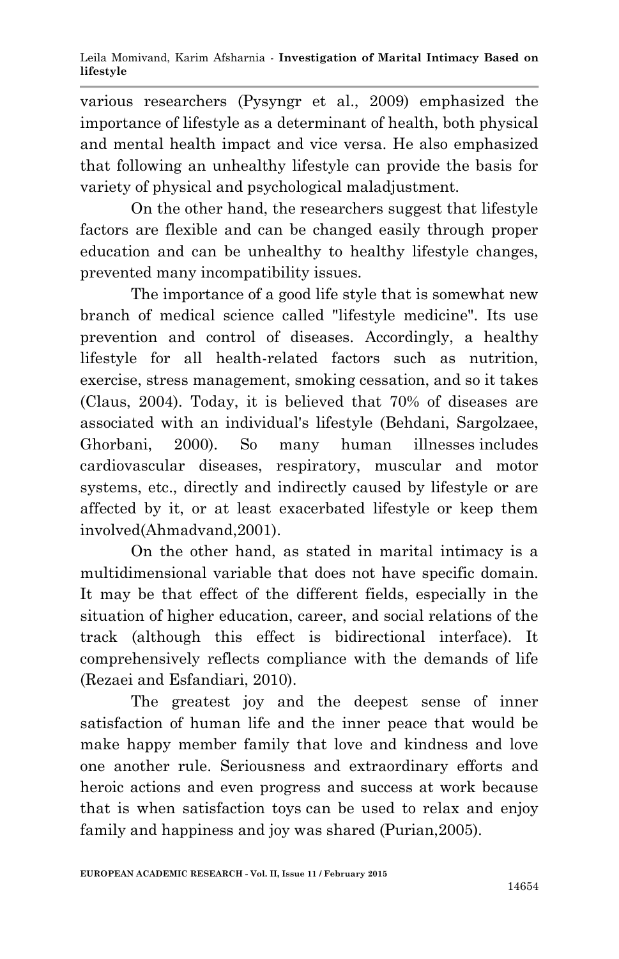various researchers (Pysyngr et al., 2009) emphasized the importance of lifestyle as a determinant of health, both physical and mental health impact and vice versa. He also emphasized that following an unhealthy lifestyle can provide the basis for variety of physical and psychological maladjustment.

On the other hand, the researchers suggest that lifestyle factors are flexible and can be changed easily through proper education and can be unhealthy to healthy lifestyle changes, prevented many incompatibility issues.

The importance of a good life style that is somewhat new branch of medical science called "lifestyle medicine". Its use prevention and control of diseases. Accordingly, a healthy lifestyle for all health-related factors such as nutrition, exercise, stress management, smoking cessation, and so it takes (Claus, 2004). Today, it is believed that 70% of diseases are associated with an individual's lifestyle (Behdani, Sargolzaee, Ghorbani, 2000). So many human illnesses includes cardiovascular diseases, respiratory, muscular and motor systems, etc., directly and indirectly caused by lifestyle or are affected by it, or at least exacerbated lifestyle or keep them involved(Ahmadvand,2001).

On the other hand, as stated in marital intimacy is a multidimensional variable that does not have specific domain. It may be that effect of the different fields, especially in the situation of higher education, career, and social relations of the track (although this effect is bidirectional interface). It comprehensively reflects compliance with the demands of life (Rezaei and Esfandiari, 2010).

The greatest joy and the deepest sense of inner satisfaction of human life and the inner peace that would be make happy member family that love and kindness and love one another rule. Seriousness and extraordinary efforts and heroic actions and even progress and success at work because that is when satisfaction toys can be used to relax and enjoy family and happiness and joy was shared (Purian,2005).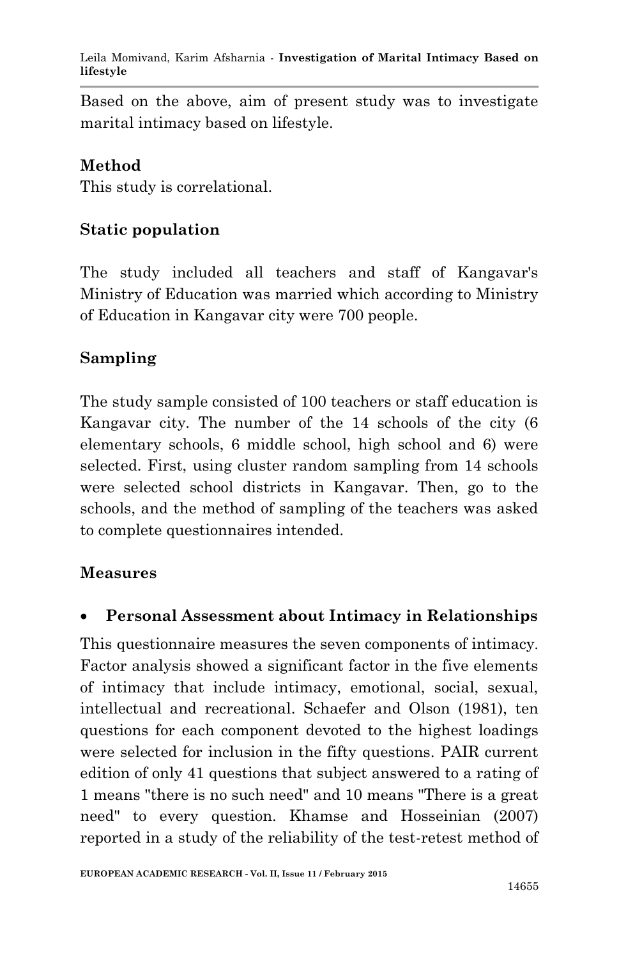Leila Momivand, Karim Afsharnia *-* **Investigation of Marital Intimacy Based on lifestyle**

Based on the above, aim of present study was to investigate marital intimacy based on lifestyle.

### **Method**

This study is correlational.

## **Static population**

The study included all teachers and staff of Kangavar's Ministry of Education was married which according to Ministry of Education in Kangavar city were 700 people.

## **Sampling**

The study sample consisted of 100 teachers or staff education is Kangavar city. The number of the 14 schools of the city (6 elementary schools, 6 middle school, high school and 6) were selected. First, using cluster random sampling from 14 schools were selected school districts in Kangavar. Then, go to the schools, and the method of sampling of the teachers was asked to complete questionnaires intended.

#### **Measures**

### **Personal Assessment about Intimacy in Relationships**

This questionnaire measures the seven components of intimacy. Factor analysis showed a significant factor in the five elements of intimacy that include intimacy, emotional, social, sexual, intellectual and recreational. Schaefer and Olson (1981), ten questions for each component devoted to the highest loadings were selected for inclusion in the fifty questions. PAIR current edition of only 41 questions that subject answered to a rating of 1 means "there is no such need" and 10 means "There is a great need" to every question. Khamse and Hosseinian (2007) reported in a study of the reliability of the test-retest method of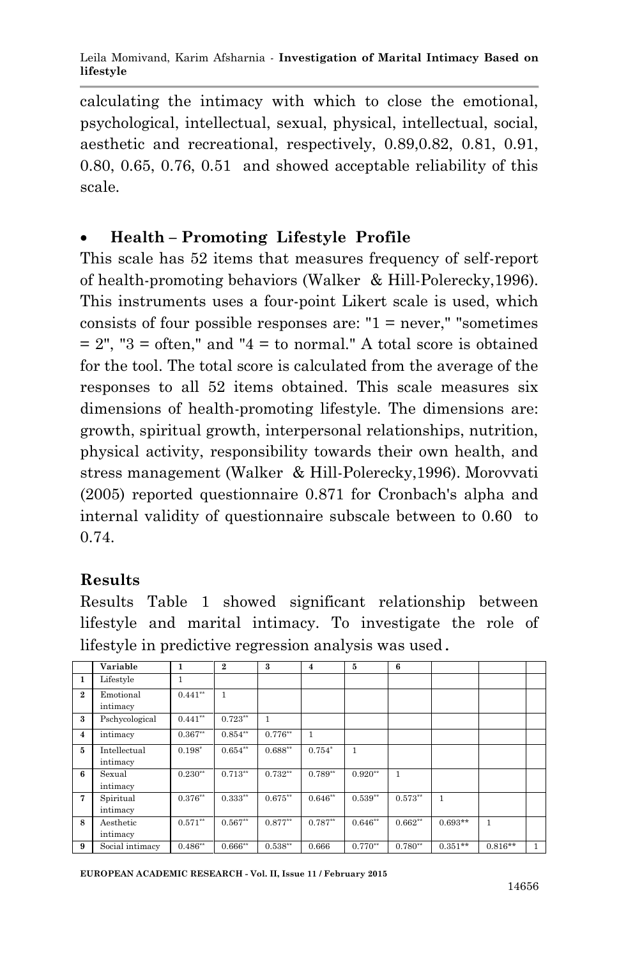calculating the intimacy with which to close the emotional, psychological, intellectual, sexual, physical, intellectual, social, aesthetic and recreational, respectively, 0.89,0.82, 0.81, 0.91, 0.80, 0.65, 0.76, 0.51 and showed acceptable reliability of this scale.

# **Health – Promoting Lifestyle Profile**

This scale has 52 items that measures frequency of self-report of health-promoting behaviors (Walker & Hill-Polerecky,1996). This instruments uses a four-point Likert scale is used, which consists of four possible responses are: " $1 =$  never," "sometimes  $= 2$ ", "3 = often," and "4 = to normal." A total score is obtained for the tool. The total score is calculated from the average of the responses to all 52 items obtained. This scale measures six dimensions of health-promoting lifestyle. The dimensions are: growth, spiritual growth, interpersonal relationships, nutrition, physical activity, responsibility towards their own health, and stress management (Walker & Hill-Polerecky,1996). Morovvati (2005) reported questionnaire 0.871 for Cronbach's alpha and internal validity of questionnaire subscale between to 0.60 to 0.74.

# **Results**

Results Table 1 showed significant relationship between lifestyle and marital intimacy. To investigate the role of lifestyle in predictive regression analysis was used.

|                | Variable                 | 1          | $\bf{2}$  | 3          | $\overline{4}$ | 5         | 6         |           |              |              |
|----------------|--------------------------|------------|-----------|------------|----------------|-----------|-----------|-----------|--------------|--------------|
| $\mathbf{1}$   | Lifestyle                |            |           |            |                |           |           |           |              |              |
| $\overline{2}$ | Emotional<br>intimacy    | $0.441**$  | 1         |            |                |           |           |           |              |              |
|                |                          |            |           |            |                |           |           |           |              |              |
| 3              | Pschycological           | $0.441**$  | $0.723**$ | 1          |                |           |           |           |              |              |
| $\overline{4}$ | intimacy                 | $0.367**$  | $0.854**$ | $0.776**$  | 1              |           |           |           |              |              |
| 5              | Intellectual<br>intimacy | $0.198*$   | $0.654**$ | $0.688**$  | $0.754*$       | 1         |           |           |              |              |
| 6              | Sexual<br>intimacy       | $0.230**$  | $0.713**$ | $0.732**$  | $0.789**$      | $0.920**$ | 1         |           |              |              |
| 7              | Spiritual<br>intimacy    | $0.376***$ | $0.333**$ | $0.675***$ | $0.646**$      | $0.539**$ | $0.573**$ | 1         |              |              |
| 8              | Aesthetic<br>intimacy    | $0.571**$  | $0.567**$ | $0.877**$  | $0.787**$      | $0.646**$ | $0.662**$ | $0.693**$ | $\mathbf{1}$ |              |
| 9              | Social intimacy          | $0.486**$  | $0.666**$ | $0.538**$  | 0.666          | $0.770**$ | $0.780**$ | $0.351**$ | $0.816**$    | $\mathbf{1}$ |

**EUROPEAN ACADEMIC RESEARCH - Vol. II, Issue 11 / February 2015**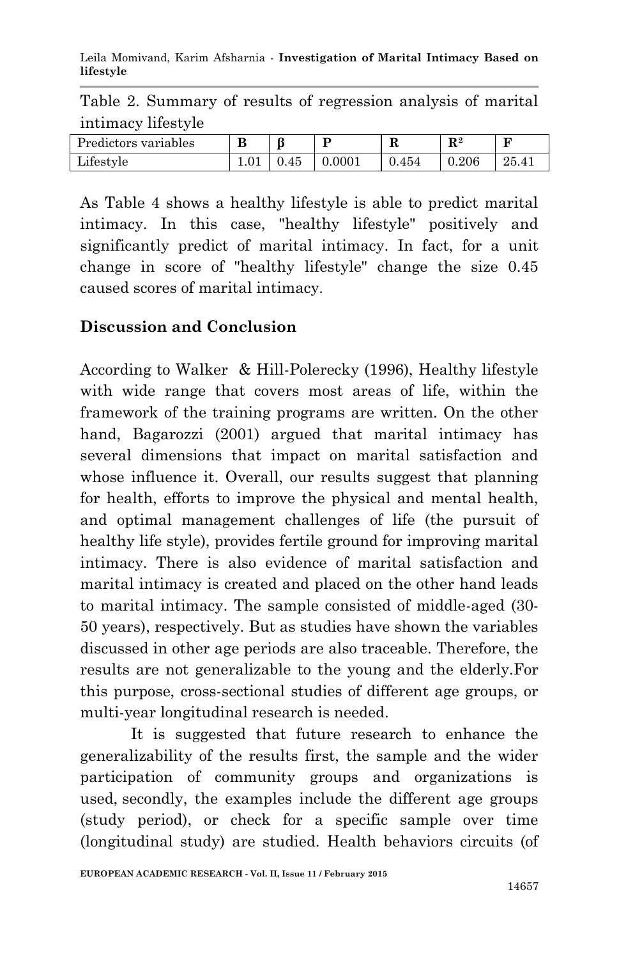Leila Momivand, Karim Afsharnia *-* **Investigation of Marital Intimacy Based on lifestyle**

Table 2. Summary of results of regression analysis of marital intimacy lifestyle

| Predictors variables | B | ß    |        | R     | $\mathbf{R}^2$ | Б<br>-    |
|----------------------|---|------|--------|-------|----------------|-----------|
| Lifestyle            |   | 0.45 | 0.0001 | 0.454 | 0.206          | $25.41\,$ |

As Table 4 shows a healthy lifestyle is able to predict marital intimacy. In this case, "healthy lifestyle" positively and significantly predict of marital intimacy. In fact, for a unit change in score of "healthy lifestyle" change the size 0.45 caused scores of marital intimacy.

### **Discussion and Conclusion**

According to Walker & Hill-Polerecky (1996), Healthy lifestyle with wide range that covers most areas of life, within the framework of the training programs are written. On the other hand, Bagarozzi (2001) argued that marital intimacy has several dimensions that impact on marital satisfaction and whose influence it. Overall, our results suggest that planning for health, efforts to improve the physical and mental health, and optimal management challenges of life (the pursuit of healthy life style), provides fertile ground for improving marital intimacy. There is also evidence of marital satisfaction and marital intimacy is created and placed on the other hand leads to marital intimacy. The sample consisted of middle-aged (30- 50 years), respectively. But as studies have shown the variables discussed in other age periods are also traceable. Therefore, the results are not generalizable to the young and the elderly.For this purpose, cross-sectional studies of different age groups, or multi-year longitudinal research is needed.

It is suggested that future research to enhance the generalizability of the results first, the sample and the wider participation of community groups and organizations is used, secondly, the examples include the different age groups (study period), or check for a specific sample over time (longitudinal study) are studied. Health behaviors circuits (of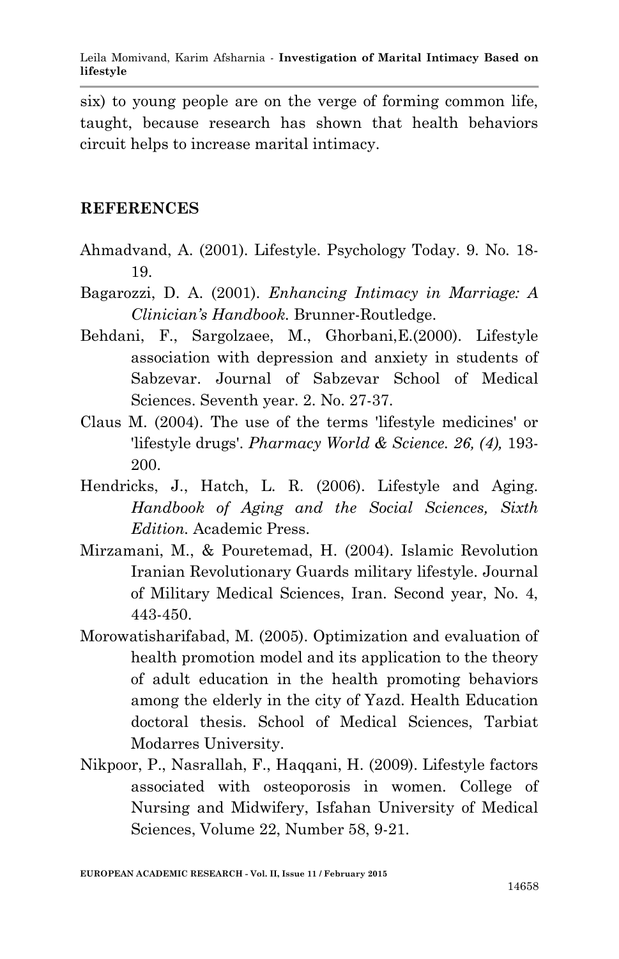six) to young people are on the verge of forming common life, taught, because research has shown that health behaviors circuit helps to increase marital intimacy.

#### **REFERENCES**

- Ahmadvand, A. (2001). Lifestyle. Psychology Today. 9. No. 18- 19.
- Bagarozzi, D. A. (2001). *Enhancing Intimacy in Marriage: A Clinician's Handbook.* Brunner-Routledge.
- Behdani, F., Sargolzaee, M., Ghorbani,E.(2000). Lifestyle association with depression and anxiety in students of Sabzevar. Journal of Sabzevar School of Medical Sciences. Seventh year. 2. No. 27-37.
- Claus M. (2004). The use of the terms 'lifestyle medicines' or 'lifestyle drugs'. *Pharmacy World & Science. 26, (4),* 193- 200.
- Hendricks, J., Hatch, L. R. (2006). Lifestyle and Aging. *Handbook of Aging and the Social Sciences, Sixth Edition.* Academic Press.
- Mirzamani, M., & Pouretemad, H. (2004). Islamic Revolution Iranian Revolutionary Guards military lifestyle. Journal of Military Medical Sciences, Iran. Second year, No. 4, 443-450.
- Morowatisharifabad, M. (2005). Optimization and evaluation of health promotion model and its application to the theory of adult education in the health promoting behaviors among the elderly in the city of Yazd. Health Education doctoral thesis. School of Medical Sciences, Tarbiat Modarres University.
- Nikpoor, P., Nasrallah, F., Haqqani, H. (2009). Lifestyle factors associated with osteoporosis in women. College of Nursing and Midwifery, Isfahan University of Medical Sciences, Volume 22, Number 58, 9-21.